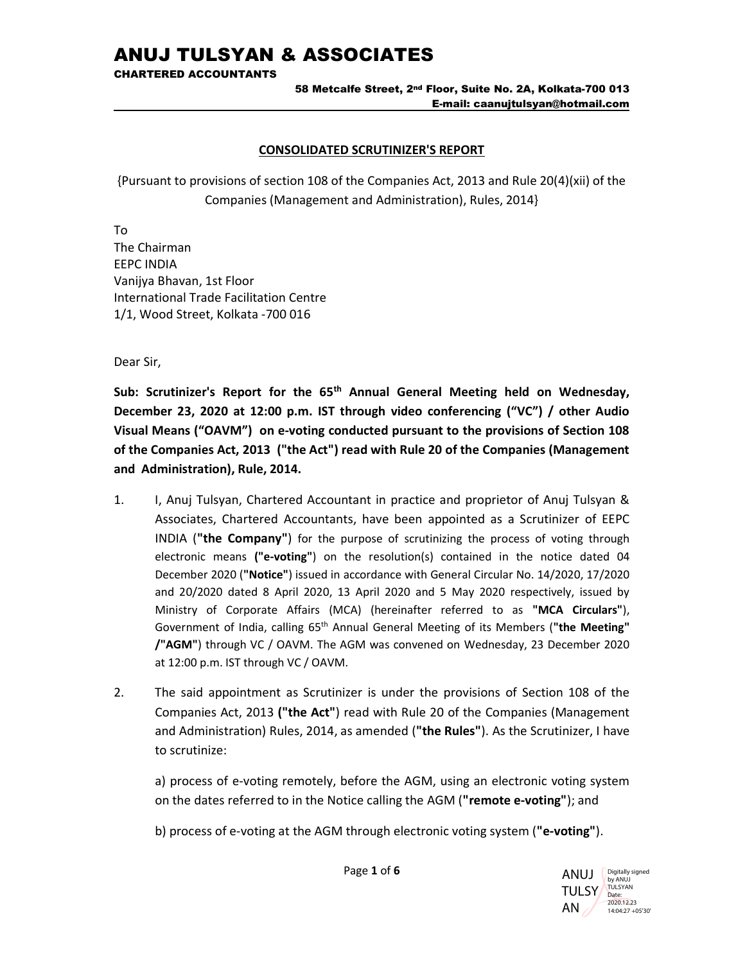CHARTERED ACCOUNTANTS

#### 58 Metcalfe Street, 2nd Floor, Suite No. 2A, Kolkata-700 013 E-mail: caanujtulsyan@hotmail.com

### CONSOLIDATED SCRUTINIZER'S REPORT

{Pursuant to provisions of section 108 of the Companies Act, 2013 and Rule 20(4)(xii) of the Companies (Management and Administration), Rules, 2014}

To The Chairman EEPC INDIA Vanijya Bhavan, 1st Floor International Trade Facilitation Centre 1/1, Wood Street, Kolkata -700 016

Dear Sir,

Sub: Scrutinizer's Report for the 65<sup>th</sup> Annual General Meeting held on Wednesday, December 23, 2020 at 12:00 p.m. IST through video conferencing ("VC") / other Audio Visual Means ("OAVM") on e-voting conducted pursuant to the provisions of Section 108 of the Companies Act, 2013 ("the Act") read with Rule 20 of the Companies (Management and Administration), Rule, 2014.

- 1. I, Anuj Tulsyan, Chartered Accountant in practice and proprietor of Anuj Tulsyan & Associates, Chartered Accountants, have been appointed as a Scrutinizer of EEPC INDIA ("the Company") for the purpose of scrutinizing the process of voting through electronic means ("e-voting") on the resolution(s) contained in the notice dated 04 December 2020 ("Notice") issued in accordance with General Circular No. 14/2020, 17/2020 and 20/2020 dated 8 April 2020, 13 April 2020 and 5 May 2020 respectively, issued by Ministry of Corporate Affairs (MCA) (hereinafter referred to as "MCA Circulars"), Government of India, calling 65<sup>th</sup> Annual General Meeting of its Members ("the Meeting" /"AGM") through VC / OAVM. The AGM was convened on Wednesday, 23 December 2020 at 12:00 p.m. IST through VC / OAVM.
- 2. The said appointment as Scrutinizer is under the provisions of Section 108 of the Companies Act, 2013 ("the Act") read with Rule 20 of the Companies (Management and Administration) Rules, 2014, as amended ("the Rules"). As the Scrutinizer, I have to scrutinize:

a) process of e-voting remotely, before the AGM, using an electronic voting system on the dates referred to in the Notice calling the AGM ("remote e-voting"); and

b) process of e-voting at the AGM through electronic voting system ("e-voting").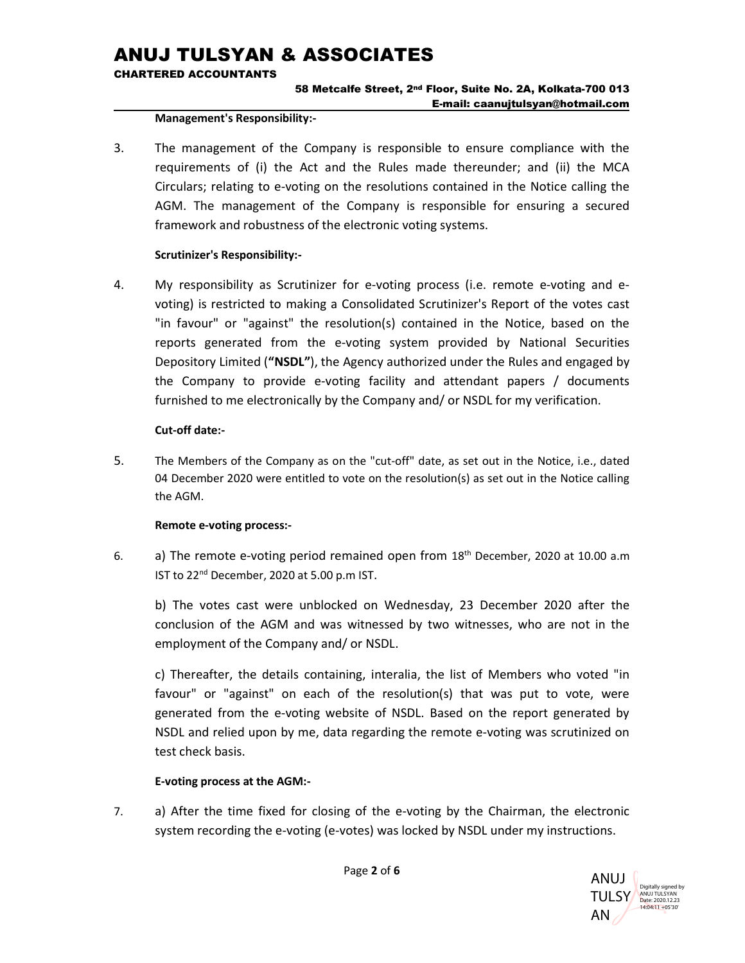CHARTERED ACCOUNTANTS

## 58 Metcalfe Street, 2nd Floor, Suite No. 2A, Kolkata-700 013 E-mail: caanujtulsyan@hotmail.com

#### Management's Responsibility:-

3. The management of the Company is responsible to ensure compliance with the requirements of (i) the Act and the Rules made thereunder; and (ii) the MCA Circulars; relating to e-voting on the resolutions contained in the Notice calling the AGM. The management of the Company is responsible for ensuring a secured framework and robustness of the electronic voting systems.

### Scrutinizer's Responsibility:-

4. My responsibility as Scrutinizer for e-voting process (i.e. remote e-voting and evoting) is restricted to making a Consolidated Scrutinizer's Report of the votes cast "in favour" or "against" the resolution(s) contained in the Notice, based on the reports generated from the e-voting system provided by National Securities Depository Limited ("NSDL"), the Agency authorized under the Rules and engaged by the Company to provide e-voting facility and attendant papers / documents furnished to me electronically by the Company and/ or NSDL for my verification.

### Cut-off date:-

5. The Members of the Company as on the "cut-off" date, as set out in the Notice, i.e., dated 04 December 2020 were entitled to vote on the resolution(s) as set out in the Notice calling the AGM.

### Remote e-voting process:-

6. a) The remote e-voting period remained open from  $18<sup>th</sup>$  December, 2020 at 10.00 a.m IST to 22nd December, 2020 at 5.00 p.m IST.

b) The votes cast were unblocked on Wednesday, 23 December 2020 after the conclusion of the AGM and was witnessed by two witnesses, who are not in the employment of the Company and/ or NSDL.

c) Thereafter, the details containing, interalia, the list of Members who voted "in favour" or "against" on each of the resolution(s) that was put to vote, were generated from the e-voting website of NSDL. Based on the report generated by NSDL and relied upon by me, data regarding the remote e-voting was scrutinized on test check basis.

### E-voting process at the AGM:-

7. a) After the time fixed for closing of the e-voting by the Chairman, the electronic system recording the e-voting (e-votes) was locked by NSDL under my instructions.

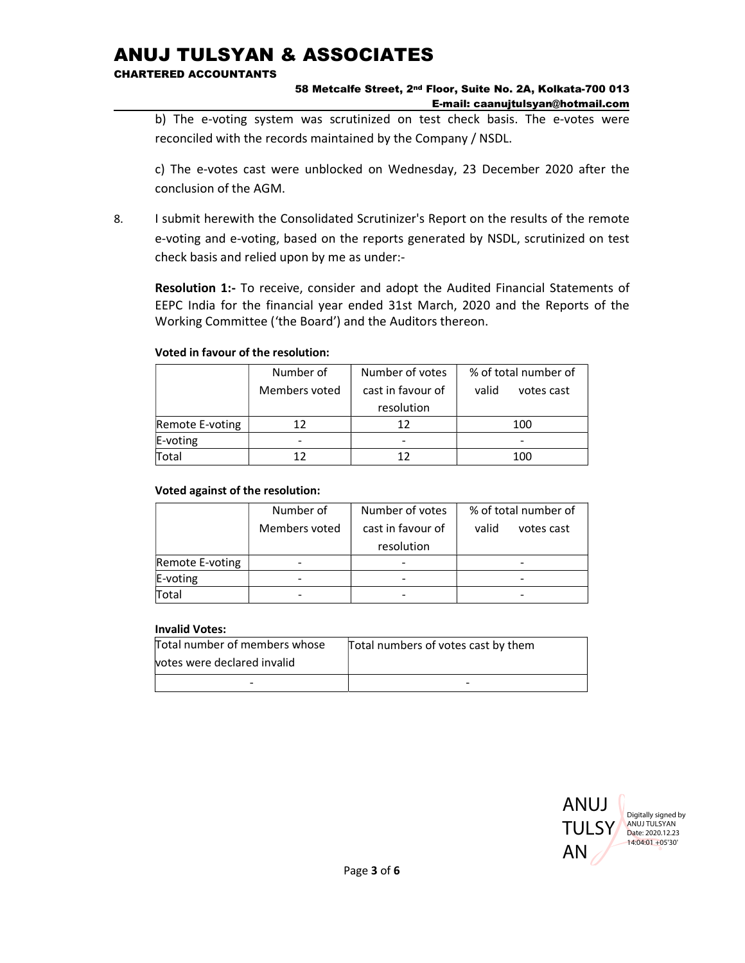CHARTERED ACCOUNTANTS

### 58 Metcalfe Street, 2nd Floor, Suite No. 2A, Kolkata-700 013 E-mail: caanujtulsyan@hotmail.com

b) The e-voting system was scrutinized on test check basis. The e-votes were reconciled with the records maintained by the Company / NSDL.

 c) The e-votes cast were unblocked on Wednesday, 23 December 2020 after the conclusion of the AGM.

8. I submit herewith the Consolidated Scrutinizer's Report on the results of the remote e-voting and e-voting, based on the reports generated by NSDL, scrutinized on test check basis and relied upon by me as under:-

Resolution 1:- To receive, consider and adopt the Audited Financial Statements of EEPC India for the financial year ended 31st March, 2020 and the Reports of the Working Committee ('the Board') and the Auditors thereon.

### Voted in favour of the resolution:

|                 | Number of     | Number of votes   | % of total number of |
|-----------------|---------------|-------------------|----------------------|
|                 | Members voted | cast in favour of | valid<br>votes cast  |
|                 |               | resolution        |                      |
| Remote E-voting | 17            | 12                | 100                  |
| E-voting        |               |                   |                      |
| Total           |               |                   | 100                  |

## Voted against of the resolution:

|                 | Number of     | Number of votes   | % of total number of |
|-----------------|---------------|-------------------|----------------------|
|                 | Members voted | cast in favour of | valid<br>votes cast  |
|                 |               | resolution        |                      |
| Remote E-voting |               |                   |                      |
| E-voting        |               |                   |                      |
| Total           |               |                   |                      |

### Invalid Votes:

| Total number of members whose | Total numbers of votes cast by them |
|-------------------------------|-------------------------------------|
| votes were declared invalid   |                                     |
|                               | -                                   |

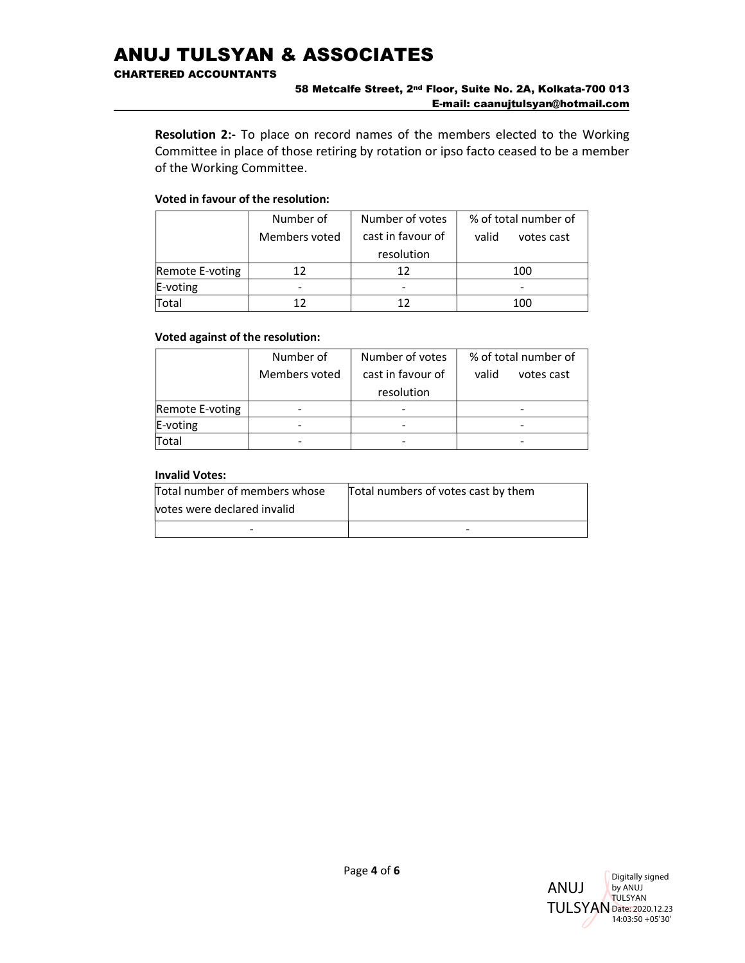CHARTERED ACCOUNTANTS

#### 58 Metcalfe Street, 2nd Floor, Suite No. 2A, Kolkata-700 013 E-mail: caanujtulsyan@hotmail.com

Resolution 2:- To place on record names of the members elected to the Working Committee in place of those retiring by rotation or ipso facto ceased to be a member of the Working Committee.

#### Voted in favour of the resolution:

|                 | Number of     | Number of votes   | % of total number of |
|-----------------|---------------|-------------------|----------------------|
|                 | Members voted | cast in favour of | valid<br>votes cast  |
|                 |               | resolution        |                      |
| Remote E-voting | 12            | 12                | 100                  |
| $E$ -voting     |               |                   |                      |
| Total           |               |                   | 100                  |

#### Voted against of the resolution:

|                 | Number of     | Number of votes   | % of total number of |
|-----------------|---------------|-------------------|----------------------|
|                 | Members voted | cast in favour of | valid<br>votes cast  |
|                 |               | resolution        |                      |
| Remote E-voting |               |                   |                      |
| $E$ -voting     |               |                   |                      |
| Total           |               |                   |                      |

#### Invalid Votes:

| Total number of members whose | Total numbers of votes cast by them |
|-------------------------------|-------------------------------------|
| votes were declared invalid   |                                     |
| -                             | -                                   |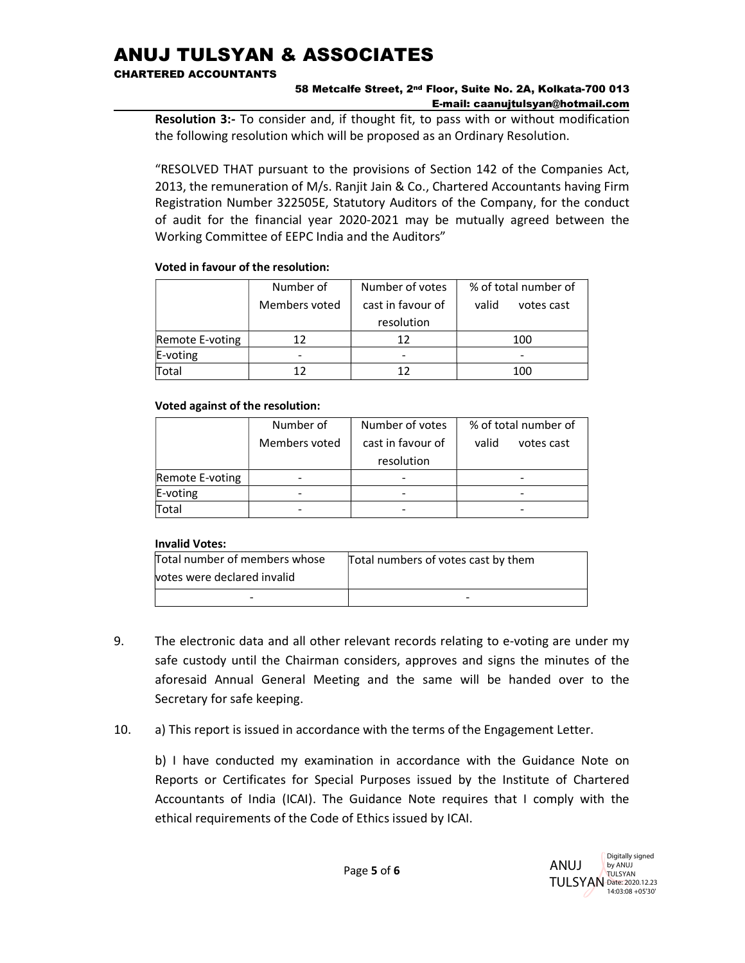CHARTERED ACCOUNTANTS

### 58 Metcalfe Street, 2nd Floor, Suite No. 2A, Kolkata-700 013 E-mail: caanujtulsyan@hotmail.com

Resolution 3:- To consider and, if thought fit, to pass with or without modification the following resolution which will be proposed as an Ordinary Resolution.

"RESOLVED THAT pursuant to the provisions of Section 142 of the Companies Act, 2013, the remuneration of M/s. Ranjit Jain & Co., Chartered Accountants having Firm Registration Number 322505E, Statutory Auditors of the Company, for the conduct of audit for the financial year 2020-2021 may be mutually agreed between the Working Committee of EEPC India and the Auditors"

### Voted in favour of the resolution:

|                 | Number of     | Number of votes   | % of total number of |
|-----------------|---------------|-------------------|----------------------|
|                 | Members voted | cast in favour of | valid<br>votes cast  |
|                 |               | resolution        |                      |
| Remote E-voting | 12            | 12                | 100                  |
| E-voting        |               |                   | -                    |
| Total           |               |                   | 100                  |

## Voted against of the resolution:

|                 | Number of     | Number of votes   | % of total number of |
|-----------------|---------------|-------------------|----------------------|
|                 | Members voted | cast in favour of | valid<br>votes cast  |
|                 |               | resolution        |                      |
| Remote E-voting |               |                   |                      |
| E-voting        |               |                   |                      |
| Total           |               |                   |                      |

## Invalid Votes:

| Total number of members whose | Total numbers of votes cast by them |  |
|-------------------------------|-------------------------------------|--|
| votes were declared invalid   |                                     |  |
| -                             | -                                   |  |

- 9. The electronic data and all other relevant records relating to e-voting are under my safe custody until the Chairman considers, approves and signs the minutes of the aforesaid Annual General Meeting and the same will be handed over to the Secretary for safe keeping.
- 10. a) This report is issued in accordance with the terms of the Engagement Letter.

 b) I have conducted my examination in accordance with the Guidance Note on Reports or Certificates for Special Purposes issued by the Institute of Chartered Accountants of India (ICAI). The Guidance Note requires that I comply with the ethical requirements of the Code of Ethics issued by ICAI.